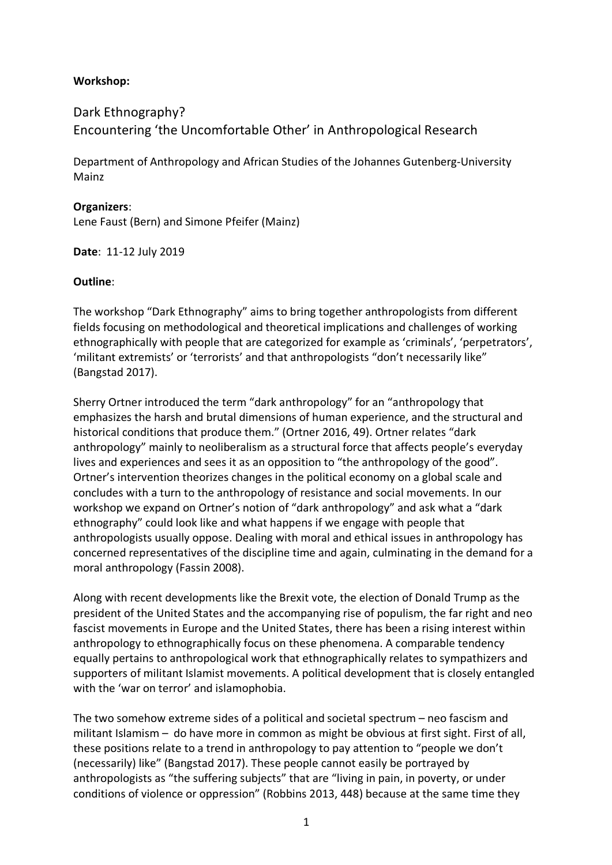## **Workshop:**

# Dark Ethnography? Encountering 'the Uncomfortable Other' in Anthropological Research

Department of Anthropology and African Studies of the Johannes Gutenberg-University Mainz

#### **Organizers**:

Lene Faust (Bern) and Simone Pfeifer (Mainz)

**Date**: 11-12 July 2019

### **Outline**:

The workshop "Dark Ethnography" aims to bring together anthropologists from different fields focusing on methodological and theoretical implications and challenges of working ethnographically with people that are categorized for example as 'criminals', 'perpetrators', 'militant extremists' or 'terrorists' and that anthropologists "don't necessarily like" (Bangstad 2017).

Sherry Ortner introduced the term "dark anthropology" for an "anthropology that emphasizes the harsh and brutal dimensions of human experience, and the structural and historical conditions that produce them." (Ortner 2016, 49). Ortner relates "dark anthropology" mainly to neoliberalism as a structural force that affects people's everyday lives and experiences and sees it as an opposition to "the anthropology of the good". Ortner's intervention theorizes changes in the political economy on a global scale and concludes with a turn to the anthropology of resistance and social movements. In our workshop we expand on Ortner's notion of "dark anthropology" and ask what a "dark ethnography" could look like and what happens if we engage with people that anthropologists usually oppose. Dealing with moral and ethical issues in anthropology has concerned representatives of the discipline time and again, culminating in the demand for a moral anthropology (Fassin 2008).

Along with recent developments like the Brexit vote, the election of Donald Trump as the president of the United States and the accompanying rise of populism, the far right and neo fascist movements in Europe and the United States, there has been a rising interest within anthropology to ethnographically focus on these phenomena. A comparable tendency equally pertains to anthropological work that ethnographically relates to sympathizers and supporters of militant Islamist movements. A political development that is closely entangled with the 'war on terror' and islamophobia.

The two somehow extreme sides of a political and societal spectrum – neo fascism and militant Islamism – do have more in common as might be obvious at first sight. First of all, these positions relate to a trend in anthropology to pay attention to "people we don't (necessarily) like" (Bangstad 2017). These people cannot easily be portrayed by anthropologists as "the suffering subjects" that are "living in pain, in poverty, or under conditions of violence or oppression" (Robbins 2013, 448) because at the same time they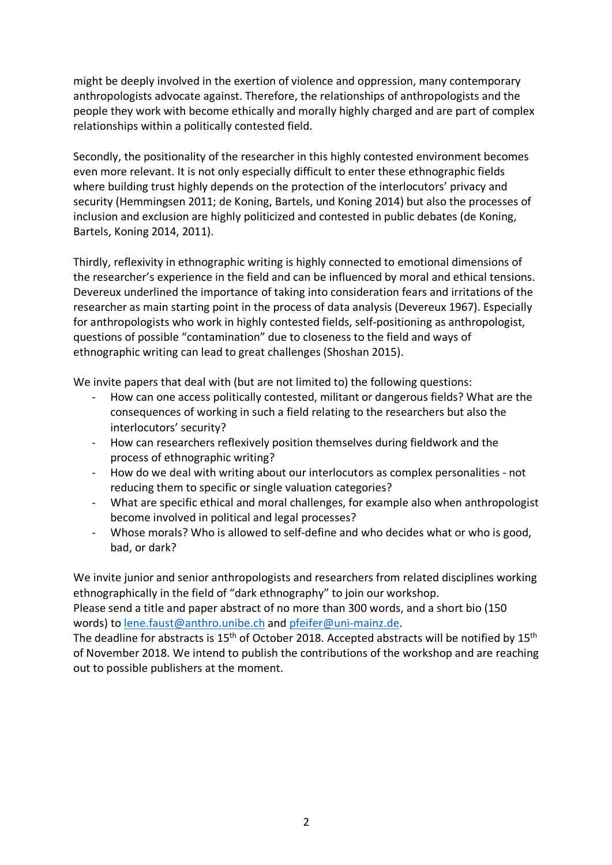might be deeply involved in the exertion of violence and oppression, many contemporary anthropologists advocate against. Therefore, the relationships of anthropologists and the people they work with become ethically and morally highly charged and are part of complex relationships within a politically contested field.

Secondly, the positionality of the researcher in this highly contested environment becomes even more relevant. It is not only especially difficult to enter these ethnographic fields where building trust highly depends on the protection of the interlocutors' privacy and security (Hemmingsen 2011; de Koning, Bartels, und Koning 2014) but also the processes of inclusion and exclusion are highly politicized and contested in public debates (de Koning, Bartels, Koning 2014, 2011).

Thirdly, reflexivity in ethnographic writing is highly connected to emotional dimensions of the researcher's experience in the field and can be influenced by moral and ethical tensions. Devereux underlined the importance of taking into consideration fears and irritations of the researcher as main starting point in the process of data analysis (Devereux 1967). Especially for anthropologists who work in highly contested fields, self-positioning as anthropologist, questions of possible "contamination" due to closeness to the field and ways of ethnographic writing can lead to great challenges (Shoshan 2015).

We invite papers that deal with (but are not limited to) the following questions:

- How can one access politically contested, militant or dangerous fields? What are the consequences of working in such a field relating to the researchers but also the interlocutors' security?
- How can researchers reflexively position themselves during fieldwork and the process of ethnographic writing?
- How do we deal with writing about our interlocutors as complex personalities not reducing them to specific or single valuation categories?
- What are specific ethical and moral challenges, for example also when anthropologist become involved in political and legal processes?
- Whose morals? Who is allowed to self-define and who decides what or who is good, bad, or dark?

We invite junior and senior anthropologists and researchers from related disciplines working ethnographically in the field of "dark ethnography" to join our workshop.

Please send a title and paper abstract of no more than 300 words, and a short bio (150 words) to lene.faust@anthro.unibe.ch and pfeifer@uni-mainz.de.

The deadline for abstracts is 15<sup>th</sup> of October 2018. Accepted abstracts will be notified by 15<sup>th</sup> of November 2018. We intend to publish the contributions of the workshop and are reaching out to possible publishers at the moment.